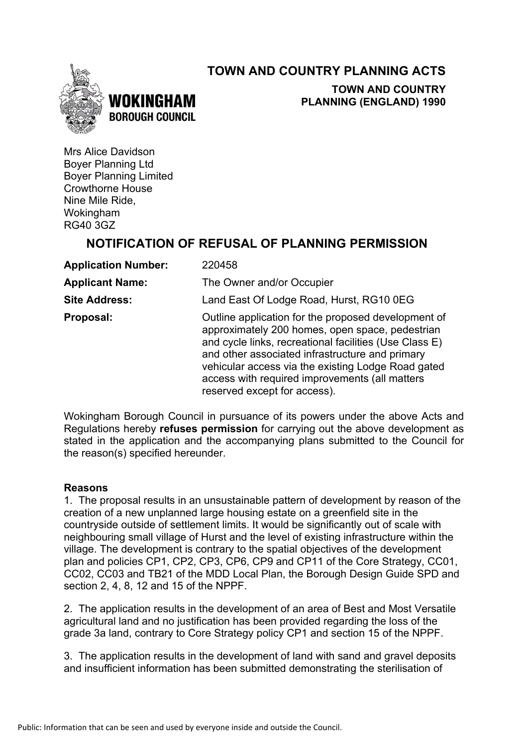## **TOWN AND COUNTRY PLANNING ACTS**





**TOWN AND COUNTRY PLANNING (ENGLAND) 1990**

Mrs Alice Davidson Boyer Planning Ltd Boyer Planning Limited Crowthorne House Nine Mile Ride, Wokingham RG40 3GZ

## **NOTIFICATION OF REFUSAL OF PLANNING PERMISSION**

| <b>Application Number:</b> | 220458                                                                                                                                                                                                                                                                                                                                                      |
|----------------------------|-------------------------------------------------------------------------------------------------------------------------------------------------------------------------------------------------------------------------------------------------------------------------------------------------------------------------------------------------------------|
| <b>Applicant Name:</b>     | The Owner and/or Occupier                                                                                                                                                                                                                                                                                                                                   |
| <b>Site Address:</b>       | Land East Of Lodge Road, Hurst, RG10 0EG                                                                                                                                                                                                                                                                                                                    |
| Proposal:                  | Outline application for the proposed development of<br>approximately 200 homes, open space, pedestrian<br>and cycle links, recreational facilities (Use Class E)<br>and other associated infrastructure and primary<br>vehicular access via the existing Lodge Road gated<br>access with required improvements (all matters<br>reserved except for access). |

Wokingham Borough Council in pursuance of its powers under the above Acts and Regulations hereby **refuses permission** for carrying out the above development as stated in the application and the accompanying plans submitted to the Council for the reason(s) specified hereunder.

#### **Reasons**

1. The proposal results in an unsustainable pattern of development by reason of the creation of a new unplanned large housing estate on a greenfield site in the countryside outside of settlement limits. It would be significantly out of scale with neighbouring small village of Hurst and the level of existing infrastructure within the village. The development is contrary to the spatial objectives of the development plan and policies CP1, CP2, CP3, CP6, CP9 and CP11 of the Core Strategy, CC01, CC02, CC03 and TB21 of the MDD Local Plan, the Borough Design Guide SPD and section 2, 4, 8, 12 and 15 of the NPPF.

2. The application results in the development of an area of Best and Most Versatile agricultural land and no justification has been provided regarding the loss of the grade 3a land, contrary to Core Strategy policy CP1 and section 15 of the NPPF.

3. The application results in the development of land with sand and gravel deposits and insufficient information has been submitted demonstrating the sterilisation of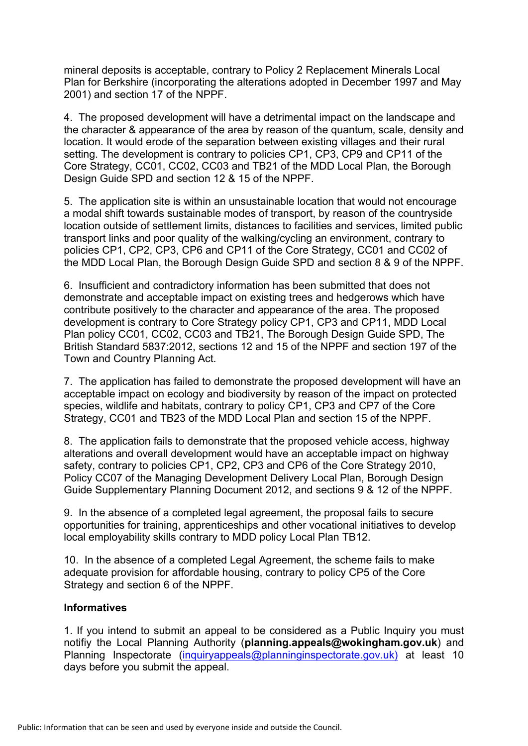mineral deposits is acceptable, contrary to Policy 2 Replacement Minerals Local Plan for Berkshire (incorporating the alterations adopted in December 1997 and May 2001) and section 17 of the NPPF.

4. The proposed development will have a detrimental impact on the landscape and the character & appearance of the area by reason of the quantum, scale, density and location. It would erode of the separation between existing villages and their rural setting. The development is contrary to policies CP1, CP3, CP9 and CP11 of the Core Strategy, CC01, CC02, CC03 and TB21 of the MDD Local Plan, the Borough Design Guide SPD and section 12 & 15 of the NPPF.

5. The application site is within an unsustainable location that would not encourage a modal shift towards sustainable modes of transport, by reason of the countryside location outside of settlement limits, distances to facilities and services, limited public transport links and poor quality of the walking/cycling an environment, contrary to policies CP1, CP2, CP3, CP6 and CP11 of the Core Strategy, CC01 and CC02 of the MDD Local Plan, the Borough Design Guide SPD and section 8 & 9 of the NPPF.

6. Insufficient and contradictory information has been submitted that does not demonstrate and acceptable impact on existing trees and hedgerows which have contribute positively to the character and appearance of the area. The proposed development is contrary to Core Strategy policy CP1, CP3 and CP11, MDD Local Plan policy CC01, CC02, CC03 and TB21, The Borough Design Guide SPD, The British Standard 5837:2012, sections 12 and 15 of the NPPF and section 197 of the Town and Country Planning Act.

7. The application has failed to demonstrate the proposed development will have an acceptable impact on ecology and biodiversity by reason of the impact on protected species, wildlife and habitats, contrary to policy CP1, CP3 and CP7 of the Core Strategy, CC01 and TB23 of the MDD Local Plan and section 15 of the NPPF.

8. The application fails to demonstrate that the proposed vehicle access, highway alterations and overall development would have an acceptable impact on highway safety, contrary to policies CP1, CP2, CP3 and CP6 of the Core Strategy 2010, Policy CC07 of the Managing Development Delivery Local Plan, Borough Design Guide Supplementary Planning Document 2012, and sections 9 & 12 of the NPPF.

9. In the absence of a completed legal agreement, the proposal fails to secure opportunities for training, apprenticeships and other vocational initiatives to develop local employability skills contrary to MDD policy Local Plan TB12.

10. In the absence of a completed Legal Agreement, the scheme fails to make adequate provision for affordable housing, contrary to policy CP5 of the Core Strategy and section 6 of the NPPF.

#### **Informatives**

1. If you intend to submit an appeal to be considered as a Public Inquiry you must notifiy the Local Planning Authority (**planning.appeals@wokingham.gov.uk**) and Planning Inspectorate (inquiryappeals@planninginspectorate.gov.uk) at least 10 days before you submit the appeal.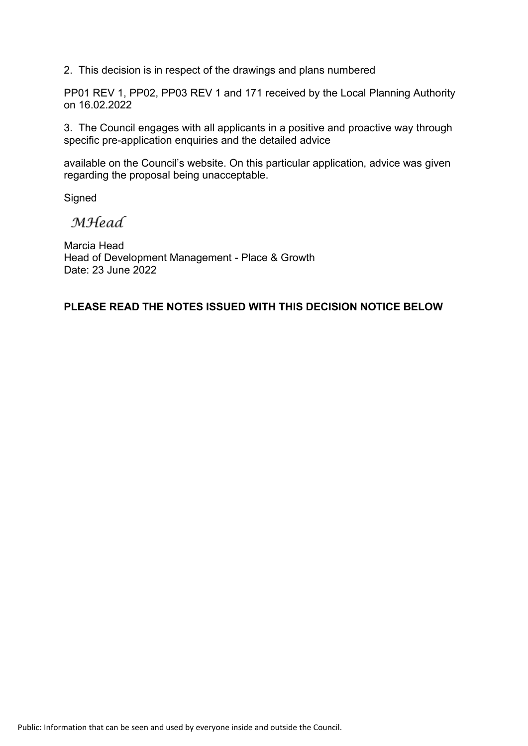2. This decision is in respect of the drawings and plans numbered

PP01 REV 1, PP02, PP03 REV 1 and 171 received by the Local Planning Authority on 16.02.2022

3. The Council engages with all applicants in a positive and proactive way through specific pre-application enquiries and the detailed advice

available on the Council's website. On this particular application, advice was given regarding the proposal being unacceptable.

**Signed** 

**MHead** 

Marcia Head Head of Development Management - Place & Growth Date: 23 June 2022

### **PLEASE READ THE NOTES ISSUED WITH THIS DECISION NOTICE BELOW**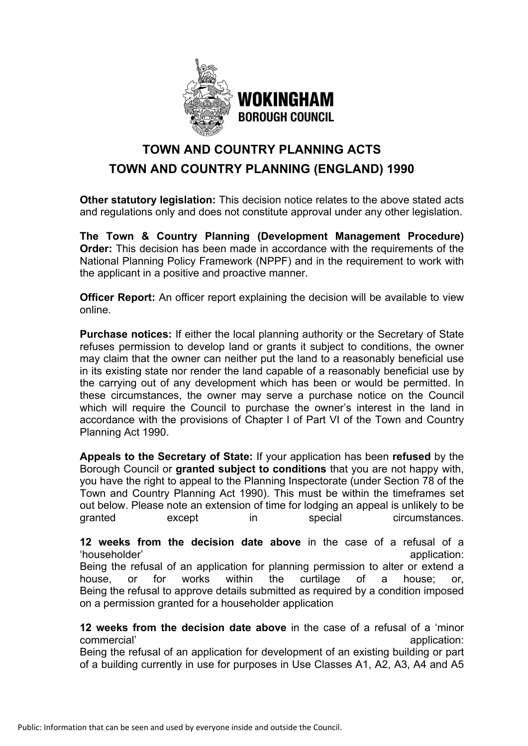

# **TOWN AND COUNTRY PLANNING ACTS TOWN AND COUNTRY PLANNING (ENGLAND) 1990**

**Other statutory legislation:** This decision notice relates to the above stated acts and regulations only and does not constitute approval under any other legislation.

**The Town & Country Planning (Development Management Procedure) Order:** This decision has been made in accordance with the requirements of the National Planning Policy Framework (NPPF) and in the requirement to work with the applicant in a positive and proactive manner.

**Officer Report:** An officer report explaining the decision will be available to view online.

**Purchase notices:** If either the local planning authority or the Secretary of State refuses permission to develop land or grants it subject to conditions, the owner may claim that the owner can neither put the land to a reasonably beneficial use in its existing state nor render the land capable of a reasonably beneficial use by the carrying out of any development which has been or would be permitted. In these circumstances, the owner may serve a purchase notice on the Council which will require the Council to purchase the owner's interest in the land in accordance with the provisions of Chapter I of Part VI of the Town and Country Planning Act 1990.

**Appeals to the Secretary of State:** If your application has been **refused** by the Borough Council or **granted subject to conditions** that you are not happy with, you have the right to appeal to the Planning Inspectorate (under Section 78 of the Town and Country Planning Act 1990). This must be within the timeframes set out below. Please note an extension of time for lodging an appeal is unlikely to be granted except in special circumstances.

**12 weeks from the decision date above** in the case of a refusal of a 'householder' application: application:  $\blacksquare$ 

Being the refusal of an application for planning permission to alter or extend a house, or for works within the curtilage of a house; or, Being the refusal to approve details submitted as required by a condition imposed on a permission granted for a householder application

**12 weeks from the decision date above** in the case of a refusal of a 'minor commercial' commercial' application:  $\blacksquare$ 

Being the refusal of an application for development of an existing building or part of a building currently in use for purposes in Use Classes A1, A2, A3, A4 and A5